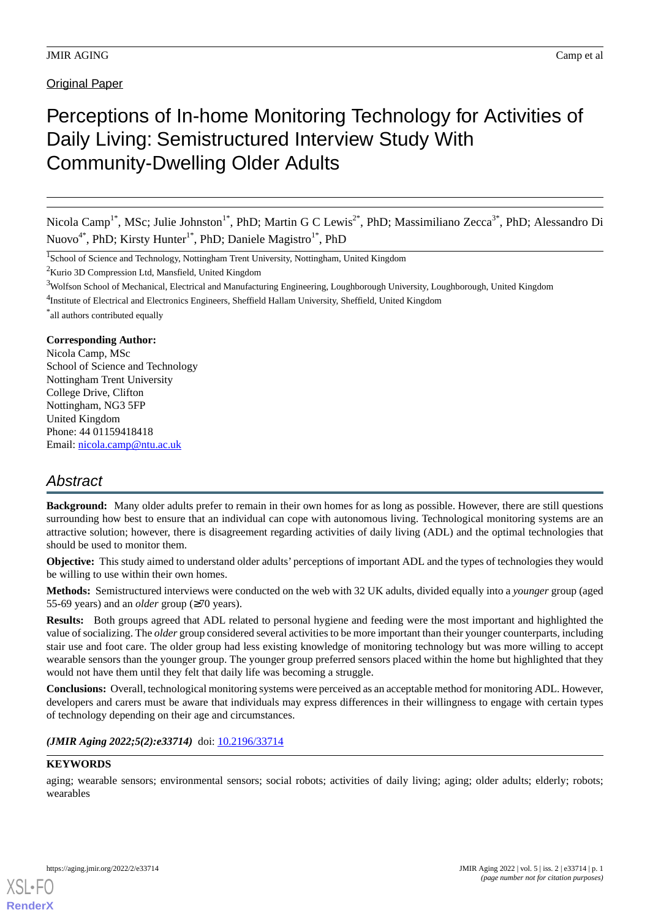# Perceptions of In-home Monitoring Technology for Activities of Daily Living: Semistructured Interview Study With Community-Dwelling Older Adults

Nicola Camp<sup>1\*</sup>, MSc; Julie Johnston<sup>1\*</sup>, PhD; Martin G C Lewis<sup>2\*</sup>, PhD; Massimiliano Zecca<sup>3\*</sup>, PhD; Alessandro Di Nuovo<sup>4\*</sup>, PhD; Kirsty Hunter<sup>1\*</sup>, PhD; Daniele Magistro<sup>1\*</sup>, PhD

<sup>1</sup>School of Science and Technology, Nottingham Trent University, Nottingham, United Kingdom

 $2$ Kurio 3D Compression Ltd. Mansfield, United Kingdom

<sup>4</sup>Institute of Electrical and Electronics Engineers, Sheffield Hallam University, Sheffield, United Kingdom

\* all authors contributed equally

#### **Corresponding Author:**

Nicola Camp, MSc School of Science and Technology Nottingham Trent University College Drive, Clifton Nottingham, NG3 5FP United Kingdom Phone: 44 01159418418 Email: [nicola.camp@ntu.ac.uk](mailto:nicola.camp@ntu.ac.uk)

# *Abstract*

**Background:** Many older adults prefer to remain in their own homes for as long as possible. However, there are still questions surrounding how best to ensure that an individual can cope with autonomous living. Technological monitoring systems are an attractive solution; however, there is disagreement regarding activities of daily living (ADL) and the optimal technologies that should be used to monitor them.

**Objective:** This study aimed to understand older adults' perceptions of important ADL and the types of technologies they would be willing to use within their own homes.

**Methods:** Semistructured interviews were conducted on the web with 32 UK adults, divided equally into a *younger* group (aged 55-69 years) and an *older* group (≥70 years).

**Results:** Both groups agreed that ADL related to personal hygiene and feeding were the most important and highlighted the value of socializing. The *older* group considered several activities to be more important than their younger counterparts, including stair use and foot care. The older group had less existing knowledge of monitoring technology but was more willing to accept wearable sensors than the younger group. The younger group preferred sensors placed within the home but highlighted that they would not have them until they felt that daily life was becoming a struggle.

**Conclusions:** Overall, technological monitoring systems were perceived as an acceptable method for monitoring ADL. However, developers and carers must be aware that individuals may express differences in their willingness to engage with certain types of technology depending on their age and circumstances.

# *(JMIR Aging 2022;5(2):e33714)* doi: [10.2196/33714](http://dx.doi.org/10.2196/33714)

# **KEYWORDS**

aging; wearable sensors; environmental sensors; social robots; activities of daily living; aging; older adults; elderly; robots; wearables

<sup>&</sup>lt;sup>3</sup>Wolfson School of Mechanical, Electrical and Manufacturing Engineering, Loughborough University, Loughborough, United Kingdom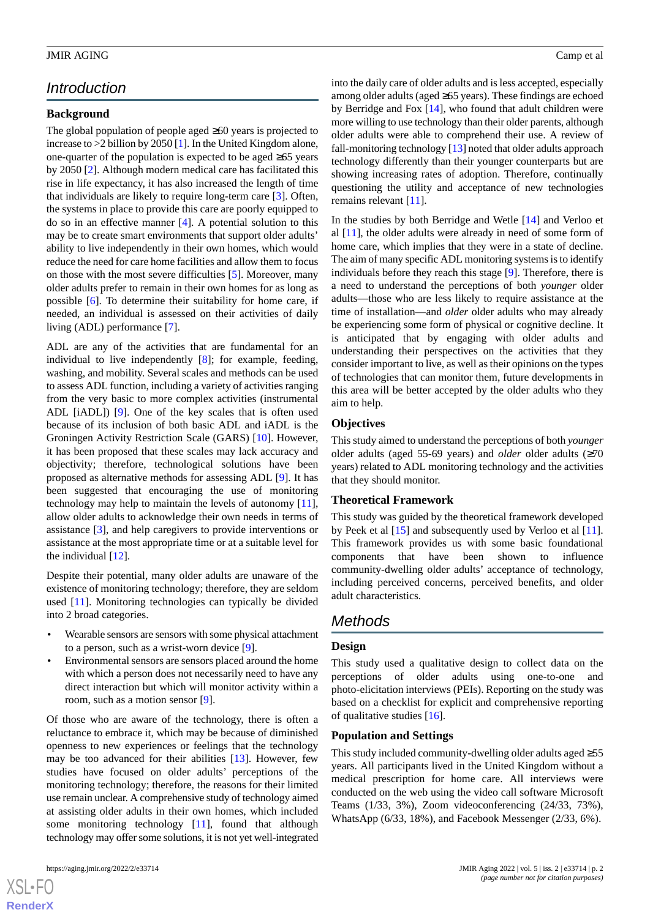# *Introduction*

# **Background**

The global population of people aged ≥60 years is projected to increase to >2 billion by 2050 [\[1](#page-14-0)]. In the United Kingdom alone, one-quarter of the population is expected to be aged ≥65 years by 2050 [\[2](#page-14-1)]. Although modern medical care has facilitated this rise in life expectancy, it has also increased the length of time that individuals are likely to require long-term care [[3\]](#page-14-2). Often, the systems in place to provide this care are poorly equipped to do so in an effective manner [[4\]](#page-14-3). A potential solution to this may be to create smart environments that support older adults' ability to live independently in their own homes, which would reduce the need for care home facilities and allow them to focus on those with the most severe difficulties [\[5](#page-14-4)]. Moreover, many older adults prefer to remain in their own homes for as long as possible [\[6\]](#page-14-5). To determine their suitability for home care, if needed, an individual is assessed on their activities of daily living (ADL) performance [\[7](#page-14-6)].

ADL are any of the activities that are fundamental for an individual to live independently [\[8](#page-14-7)]; for example, feeding, washing, and mobility. Several scales and methods can be used to assess ADL function, including a variety of activities ranging from the very basic to more complex activities (instrumental ADL [iADL]) [[9\]](#page-14-8). One of the key scales that is often used because of its inclusion of both basic ADL and iADL is the Groningen Activity Restriction Scale (GARS) [[10\]](#page-14-9). However, it has been proposed that these scales may lack accuracy and objectivity; therefore, technological solutions have been proposed as alternative methods for assessing ADL [[9\]](#page-14-8). It has been suggested that encouraging the use of monitoring technology may help to maintain the levels of autonomy [[11\]](#page-14-10), allow older adults to acknowledge their own needs in terms of assistance [[3\]](#page-14-2), and help caregivers to provide interventions or assistance at the most appropriate time or at a suitable level for the individual  $[12]$  $[12]$ .

Despite their potential, many older adults are unaware of the existence of monitoring technology; therefore, they are seldom used [\[11](#page-14-10)]. Monitoring technologies can typically be divided into 2 broad categories.

- Wearable sensors are sensors with some physical attachment to a person, such as a wrist-worn device [[9\]](#page-14-8).
- Environmental sensors are sensors placed around the home with which a person does not necessarily need to have any direct interaction but which will monitor activity within a room, such as a motion sensor [\[9\]](#page-14-8).

Of those who are aware of the technology, there is often a reluctance to embrace it, which may be because of diminished openness to new experiences or feelings that the technology may be too advanced for their abilities [\[13](#page-14-12)]. However, few studies have focused on older adults' perceptions of the monitoring technology; therefore, the reasons for their limited use remain unclear. A comprehensive study of technology aimed at assisting older adults in their own homes, which included some monitoring technology [\[11](#page-14-10)], found that although technology may offer some solutions, it is not yet well-integrated

[XSL](http://www.w3.org/Style/XSL)•FO **[RenderX](http://www.renderx.com/)**

into the daily care of older adults and is less accepted, especially among older adults (aged ≥65 years). These findings are echoed by Berridge and Fox [[14\]](#page-14-13), who found that adult children were more willing to use technology than their older parents, although older adults were able to comprehend their use. A review of fall-monitoring technology [\[13\]](#page-14-12) noted that older adults approach technology differently than their younger counterparts but are showing increasing rates of adoption. Therefore, continually questioning the utility and acceptance of new technologies remains relevant [\[11](#page-14-10)].

In the studies by both Berridge and Wetle [\[14](#page-14-13)] and Verloo et al [[11\]](#page-14-10), the older adults were already in need of some form of home care, which implies that they were in a state of decline. The aim of many specific ADL monitoring systems is to identify individuals before they reach this stage [[9\]](#page-14-8). Therefore, there is a need to understand the perceptions of both *younger* older adults—those who are less likely to require assistance at the time of installation—and *older* older adults who may already be experiencing some form of physical or cognitive decline. It is anticipated that by engaging with older adults and understanding their perspectives on the activities that they consider important to live, as well as their opinions on the types of technologies that can monitor them, future developments in this area will be better accepted by the older adults who they aim to help.

#### **Objectives**

This study aimed to understand the perceptions of both *younger* older adults (aged 55-69 years) and *older* older adults (≥70 years) related to ADL monitoring technology and the activities that they should monitor.

#### **Theoretical Framework**

This study was guided by the theoretical framework developed by Peek et al [[15\]](#page-14-14) and subsequently used by Verloo et al [[11\]](#page-14-10). This framework provides us with some basic foundational components that have been shown to influence community-dwelling older adults' acceptance of technology, including perceived concerns, perceived benefits, and older adult characteristics.

# *Methods*

#### **Design**

This study used a qualitative design to collect data on the perceptions of older adults using one-to-one and photo-elicitation interviews (PEIs). Reporting on the study was based on a checklist for explicit and comprehensive reporting of qualitative studies [\[16](#page-14-15)].

#### **Population and Settings**

This study included community-dwelling older adults aged ≥55 years. All participants lived in the United Kingdom without a medical prescription for home care. All interviews were conducted on the web using the video call software Microsoft Teams (1/33, 3%), Zoom videoconferencing (24/33, 73%), WhatsApp (6/33, 18%), and Facebook Messenger (2/33, 6%).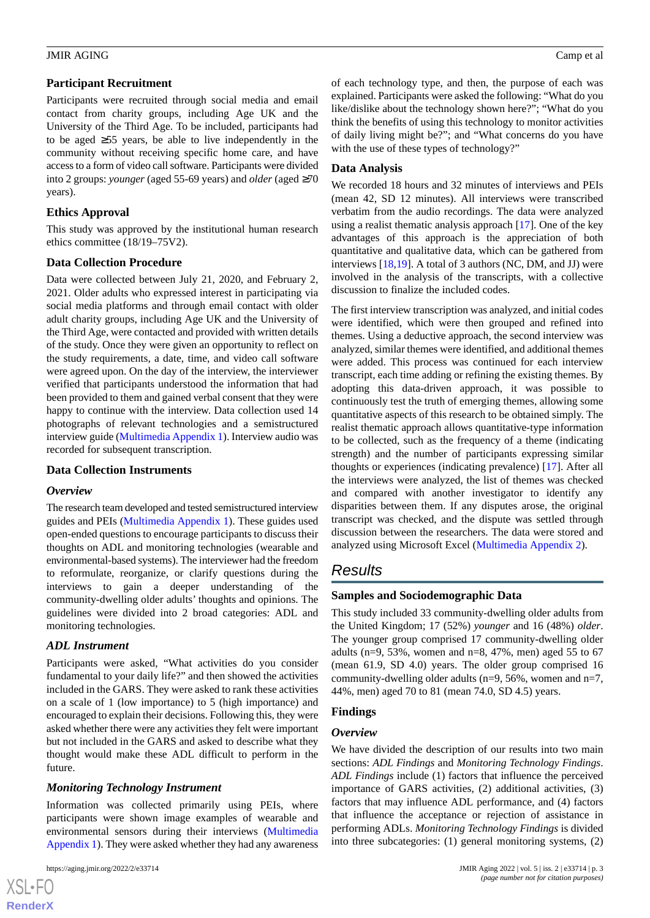#### **Participant Recruitment**

Participants were recruited through social media and email contact from charity groups, including Age UK and the University of the Third Age. To be included, participants had to be aged ≥55 years, be able to live independently in the community without receiving specific home care, and have access to a form of video call software. Participants were divided into 2 groups: *younger* (aged 55-69 years) and *older* (aged ≥70 years).

# **Ethics Approval**

This study was approved by the institutional human research ethics committee (18/19–75V2).

# **Data Collection Procedure**

Data were collected between July 21, 2020, and February 2, 2021. Older adults who expressed interest in participating via social media platforms and through email contact with older adult charity groups, including Age UK and the University of the Third Age, were contacted and provided with written details of the study. Once they were given an opportunity to reflect on the study requirements, a date, time, and video call software were agreed upon. On the day of the interview, the interviewer verified that participants understood the information that had been provided to them and gained verbal consent that they were happy to continue with the interview. Data collection used 14 photographs of relevant technologies and a semistructured interview guide [\(Multimedia Appendix 1](#page-14-16)). Interview audio was recorded for subsequent transcription.

# **Data Collection Instruments**

#### *Overview*

The research team developed and tested semistructured interview guides and PEIs [\(Multimedia Appendix 1\)](#page-14-16). These guides used open-ended questions to encourage participants to discuss their thoughts on ADL and monitoring technologies (wearable and environmental-based systems). The interviewer had the freedom to reformulate, reorganize, or clarify questions during the interviews to gain a deeper understanding of the community-dwelling older adults' thoughts and opinions. The guidelines were divided into 2 broad categories: ADL and monitoring technologies.

# *ADL Instrument*

Participants were asked, "What activities do you consider fundamental to your daily life?" and then showed the activities included in the GARS. They were asked to rank these activities on a scale of 1 (low importance) to 5 (high importance) and encouraged to explain their decisions. Following this, they were asked whether there were any activities they felt were important but not included in the GARS and asked to describe what they thought would make these ADL difficult to perform in the future.

# *Monitoring Technology Instrument*

Information was collected primarily using PEIs, where participants were shown image examples of wearable and environmental sensors during their interviews ([Multimedia](#page-14-16) [Appendix 1\)](#page-14-16). They were asked whether they had any awareness

 $XS$  $\cdot$ FC **[RenderX](http://www.renderx.com/)** of each technology type, and then, the purpose of each was explained. Participants were asked the following: "What do you like/dislike about the technology shown here?"; "What do you think the benefits of using this technology to monitor activities of daily living might be?"; and "What concerns do you have with the use of these types of technology?"

# **Data Analysis**

We recorded 18 hours and 32 minutes of interviews and PEIs (mean 42, SD 12 minutes). All interviews were transcribed verbatim from the audio recordings. The data were analyzed using a realist thematic analysis approach [[17\]](#page-15-0). One of the key advantages of this approach is the appreciation of both quantitative and qualitative data, which can be gathered from interviews [[18,](#page-15-1)[19](#page-15-2)]. A total of 3 authors (NC, DM, and JJ) were involved in the analysis of the transcripts, with a collective discussion to finalize the included codes.

The first interview transcription was analyzed, and initial codes were identified, which were then grouped and refined into themes. Using a deductive approach, the second interview was analyzed, similar themes were identified, and additional themes were added. This process was continued for each interview transcript, each time adding or refining the existing themes. By adopting this data-driven approach, it was possible to continuously test the truth of emerging themes, allowing some quantitative aspects of this research to be obtained simply. The realist thematic approach allows quantitative-type information to be collected, such as the frequency of a theme (indicating strength) and the number of participants expressing similar thoughts or experiences (indicating prevalence) [\[17](#page-15-0)]. After all the interviews were analyzed, the list of themes was checked and compared with another investigator to identify any disparities between them. If any disputes arose, the original transcript was checked, and the dispute was settled through discussion between the researchers. The data were stored and analyzed using Microsoft Excel [\(Multimedia Appendix 2](#page-14-17)).

# *Results*

# **Samples and Sociodemographic Data**

This study included 33 community-dwelling older adults from the United Kingdom; 17 (52%) *younger* and 16 (48%) *older*. The younger group comprised 17 community-dwelling older adults (n=9, 53%, women and n=8, 47%, men) aged 55 to 67 (mean 61.9, SD 4.0) years. The older group comprised 16 community-dwelling older adults ( $n=9, 56\%$ , women and  $n=7$ , 44%, men) aged 70 to 81 (mean 74.0, SD 4.5) years.

# **Findings**

# *Overview*

We have divided the description of our results into two main sections: *ADL Findings* and *Monitoring Technology Findings*. *ADL Findings* include (1) factors that influence the perceived importance of GARS activities, (2) additional activities, (3) factors that may influence ADL performance, and (4) factors that influence the acceptance or rejection of assistance in performing ADLs. *Monitoring Technology Findings* is divided into three subcategories: (1) general monitoring systems, (2)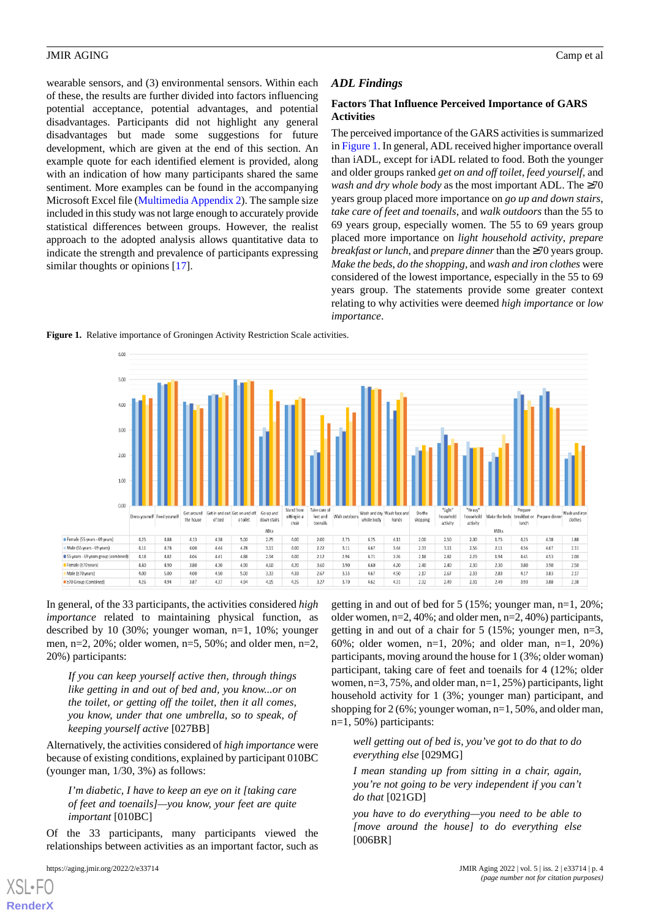wearable sensors, and (3) environmental sensors. Within each of these, the results are further divided into factors influencing potential acceptance, potential advantages, and potential disadvantages. Participants did not highlight any general disadvantages but made some suggestions for future development, which are given at the end of this section. An example quote for each identified element is provided, along with an indication of how many participants shared the same sentiment. More examples can be found in the accompanying Microsoft Excel file [\(Multimedia Appendix 2\)](#page-14-17). The sample size included in this study was not large enough to accurately provide statistical differences between groups. However, the realist approach to the adopted analysis allows quantitative data to indicate the strength and prevalence of participants expressing similar thoughts or opinions [[17\]](#page-15-0).

#### *ADL Findings*

#### **Factors That Influence Perceived Importance of GARS Activities**

The perceived importance of the GARS activities is summarized in [Figure 1](#page-3-0). In general, ADL received higher importance overall than iADL, except for iADL related to food. Both the younger and older groups ranked *get on and off toilet*, *feed yourself*, and *wash and dry whole body* as the most important ADL. The ≥70 years group placed more importance on *go up and down stairs*, *take care of feet and toenails*, and *walk outdoors* than the 55 to 69 years group, especially women. The 55 to 69 years group placed more importance on *light household activity*, *prepare breakfast or lunch*, and *prepare dinner*than the ≥70 years group. *Make the beds*, *do the shopping*, and *wash and iron clothes* were considered of the lowest importance, especially in the 55 to 69 years group. The statements provide some greater context relating to why activities were deemed *high importance* or *low importance*.

<span id="page-3-0"></span>**Figure 1.** Relative importance of Groningen Activity Restriction Scale activities.



In general, of the 33 participants, the activities considered *high importance* related to maintaining physical function, as described by 10 (30%; younger woman, n=1, 10%; younger men, n=2, 20%; older women, n=5, 50%; and older men, n=2, 20%) participants:

*If you can keep yourself active then, through things like getting in and out of bed and, you know...or on the toilet, or getting off the toilet, then it all comes, you know, under that one umbrella, so to speak, of keeping yourself active* [027BB]

Alternatively, the activities considered of *high importance* were because of existing conditions, explained by participant 010BC (younger man, 1/30, 3%) as follows:

*I'm diabetic, I have to keep an eye on it [taking care of feet and toenails]—you know, your feet are quite important* [010BC]

Of the 33 participants, many participants viewed the relationships between activities as an important factor, such as

[XSL](http://www.w3.org/Style/XSL)•FO **[RenderX](http://www.renderx.com/)**

getting in and out of bed for 5 (15%; younger man, n=1, 20%; older women, n=2, 40%; and older men, n=2, 40%) participants, getting in and out of a chair for 5 (15%; younger men, n=3, 60%; older women, n=1, 20%; and older man, n=1, 20%) participants, moving around the house for 1 (3%; older woman) participant, taking care of feet and toenails for 4 (12%; older women, n=3, 75%, and older man, n=1, 25%) participants, light household activity for 1 (3%; younger man) participant, and shopping for 2 (6%; younger woman, n=1, 50%, and older man, n=1, 50%) participants:

*well getting out of bed is, you've got to do that to do everything else* [029MG]

*I mean standing up from sitting in a chair, again, you're not going to be very independent if you can't do that* [021GD]

*you have to do everything—you need to be able to [move around the house] to do everything else* [006BR]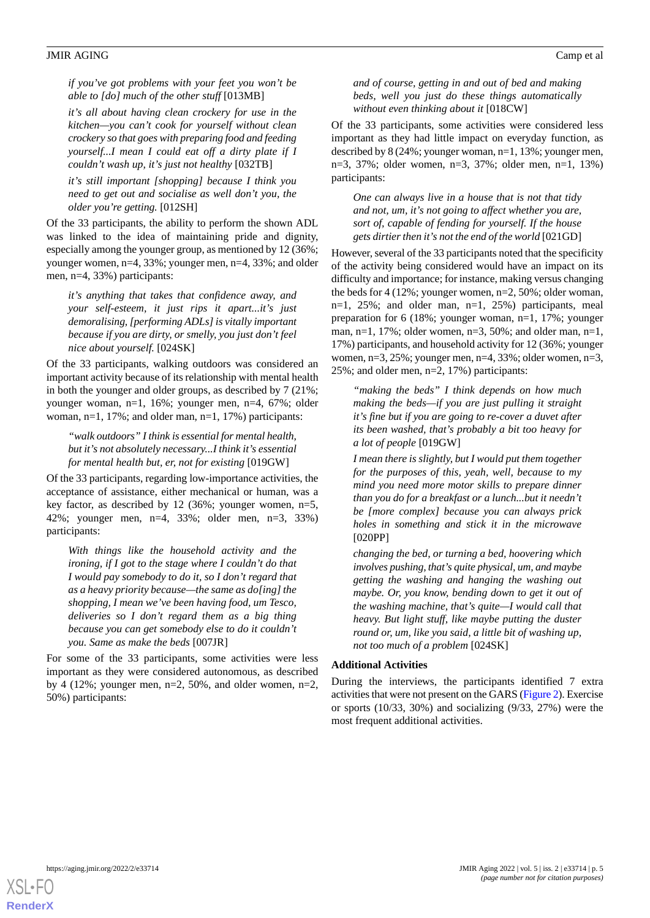*if you've got problems with your feet you won't be able to [do] much of the other stuff* [013MB]

*it's all about having clean crockery for use in the kitchen—you can't cook for yourself without clean crockery so that goes with preparing food and feeding yourself...I mean I could eat off a dirty plate if I couldn't wash up, it's just not healthy* [032TB]

*it's still important [shopping] because I think you need to get out and socialise as well don't you, the older you're getting.* [012SH]

Of the 33 participants, the ability to perform the shown ADL was linked to the idea of maintaining pride and dignity, especially among the younger group, as mentioned by 12 (36%; younger women, n=4, 33%; younger men, n=4, 33%; and older men, n=4, 33%) participants:

*it's anything that takes that confidence away, and your self-esteem, it just rips it apart...it's just demoralising, [performing ADLs] is vitally important because if you are dirty, or smelly, you just don't feel nice about yourself.* [024SK]

Of the 33 participants, walking outdoors was considered an important activity because of its relationship with mental health in both the younger and older groups, as described by 7 (21%; younger woman, n=1, 16%; younger men, n=4, 67%; older woman, n=1, 17%; and older man, n=1, 17%) participants:

*"walk outdoors" I think is essential for mental health, but it's not absolutely necessary...I think it's essential for mental health but, er, not for existing* [019GW]

Of the 33 participants, regarding low-importance activities, the acceptance of assistance, either mechanical or human, was a key factor, as described by 12 (36%; younger women, n=5, 42%; younger men, n=4, 33%; older men, n=3, 33%) participants:

*With things like the household activity and the ironing, if I got to the stage where I couldn't do that I would pay somebody to do it, so I don't regard that as a heavy priority because—the same as do[ing] the shopping, I mean we've been having food, um Tesco, deliveries so I don't regard them as a big thing because you can get somebody else to do it couldn't you. Same as make the beds* [007JR]

For some of the 33 participants, some activities were less important as they were considered autonomous, as described by 4 (12%; younger men,  $n=2$ , 50%, and older women,  $n=2$ , 50%) participants:

*and of course, getting in and out of bed and making beds, well you just do these things automatically without even thinking about it* [018CW]

Of the 33 participants, some activities were considered less important as they had little impact on everyday function, as described by 8 (24%; younger woman, n=1, 13%; younger men, n=3, 37%; older women, n=3, 37%; older men, n=1, 13%) participants:

*One can always live in a house that is not that tidy and not, um, it's not going to affect whether you are, sort of, capable of fending for yourself. If the house gets dirtier then it's not the end of the world* [021GD]

However, several of the 33 participants noted that the specificity of the activity being considered would have an impact on its difficulty and importance; for instance, making versus changing the beds for 4 (12%; younger women, n=2, 50%; older woman,  $n=1$ , 25%; and older man,  $n=1$ , 25%) participants, meal preparation for 6 (18%; younger woman, n=1, 17%; younger man,  $n=1$ , 17%; older women,  $n=3$ , 50%; and older man,  $n=1$ , 17%) participants, and household activity for 12 (36%; younger women, n=3, 25%; younger men, n=4, 33%; older women, n=3, 25%; and older men, n=2, 17%) participants:

*"making the beds" I think depends on how much making the beds—if you are just pulling it straight it's fine but if you are going to re-cover a duvet after its been washed, that's probably a bit too heavy for a lot of people* [019GW]

*I mean there is slightly, but I would put them together for the purposes of this, yeah, well, because to my mind you need more motor skills to prepare dinner than you do for a breakfast or a lunch...but it needn't be [more complex] because you can always prick holes in something and stick it in the microwave* [020PP]

*changing the bed, or turning a bed, hoovering which involves pushing, that's quite physical, um, and maybe getting the washing and hanging the washing out maybe. Or, you know, bending down to get it out of the washing machine, that's quite—I would call that heavy. But light stuff, like maybe putting the duster round or, um, like you said, a little bit of washing up, not too much of a problem* [024SK]

#### **Additional Activities**

During the interviews, the participants identified 7 extra activities that were not present on the GARS [\(Figure 2\)](#page-5-0). Exercise or sports (10/33, 30%) and socializing (9/33, 27%) were the most frequent additional activities.

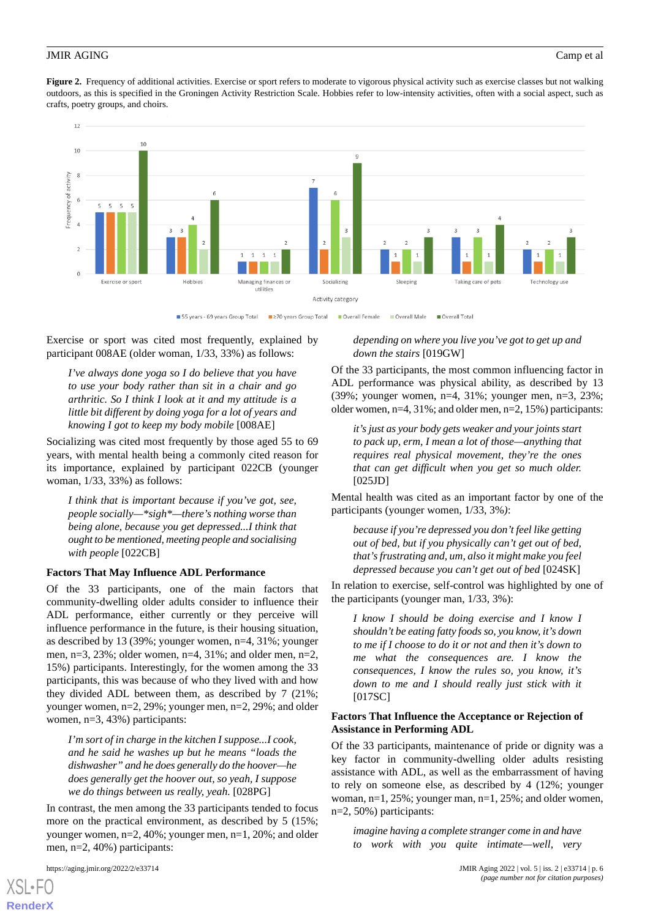<span id="page-5-0"></span>Figure 2. Frequency of additional activities. Exercise or sport refers to moderate to vigorous physical activity such as exercise classes but not walking outdoors, as this is specified in the Groningen Activity Restriction Scale. Hobbies refer to low-intensity activities, often with a social aspect, such as crafts, poetry groups, and choirs.



Exercise or sport was cited most frequently, explained by participant 008AE (older woman, 1/33, 33%) as follows:

*I've always done yoga so I do believe that you have to use your body rather than sit in a chair and go arthritic. So I think I look at it and my attitude is a little bit different by doing yoga for a lot of years and knowing I got to keep my body mobile* [008AE]

Socializing was cited most frequently by those aged 55 to 69 years, with mental health being a commonly cited reason for its importance, explained by participant 022CB (younger woman, 1/33, 33%) as follows:

*I think that is important because if you've got, see, people socially—\*sigh\*—there's nothing worse than being alone, because you get depressed...I think that ought to be mentioned, meeting people and socialising with people* [022CB]

#### **Factors That May Influence ADL Performance**

Of the 33 participants, one of the main factors that community-dwelling older adults consider to influence their ADL performance, either currently or they perceive will influence performance in the future, is their housing situation, as described by 13 (39%; younger women, n=4, 31%; younger men,  $n=3$ , 23%; older women,  $n=4$ , 31%; and older men,  $n=2$ , 15%) participants. Interestingly, for the women among the 33 participants, this was because of who they lived with and how they divided ADL between them, as described by 7 (21%; younger women, n=2, 29%; younger men, n=2, 29%; and older women, n=3, 43%) participants:

*I'm sort of in charge in the kitchen I suppose...I cook, and he said he washes up but he means "loads the dishwasher" and he does generally do the hoover—he does generally get the hoover out, so yeah, I suppose we do things between us really, yeah.* [028PG]

In contrast, the men among the 33 participants tended to focus more on the practical environment, as described by 5 (15%; younger women, n=2, 40%; younger men, n=1, 20%; and older men, n=2, 40%) participants:

[XSL](http://www.w3.org/Style/XSL)•FO **[RenderX](http://www.renderx.com/)**

*depending on where you live you've got to get up and down the stairs* [019GW]

Of the 33 participants, the most common influencing factor in ADL performance was physical ability, as described by 13 (39%; younger women, n=4, 31%; younger men, n=3, 23%; older women, n=4, 31%; and older men, n=2, 15%) participants:

*it's just as your body gets weaker and your joints start to pack up, erm, I mean a lot of those—anything that requires real physical movement, they're the ones that can get difficult when you get so much older.*  $[025JD]$ 

Mental health was cited as an important factor by one of the participants (younger women, 1/33, 3%*)*:

*because if you're depressed you don't feel like getting out of bed, but if you physically can't get out of bed, that's frustrating and, um, also it might make you feel depressed because you can't get out of bed* [024SK]

In relation to exercise, self-control was highlighted by one of the participants (younger man, 1/33, 3%):

*I know I should be doing exercise and I know I shouldn't be eating fatty foods so, you know, it's down to me if I choose to do it or not and then it's down to me what the consequences are. I know the consequences, I know the rules so, you know, it's down to me and I should really just stick with it* [017SC]

#### **Factors That Influence the Acceptance or Rejection of Assistance in Performing ADL**

Of the 33 participants, maintenance of pride or dignity was a key factor in community-dwelling older adults resisting assistance with ADL, as well as the embarrassment of having to rely on someone else, as described by 4 (12%; younger woman,  $n=1$ ,  $25\%$ ; younger man,  $n=1$ ,  $25\%$ ; and older women, n=2, 50%) participants:

*imagine having a complete stranger come in and have to work with you quite intimate—well, very*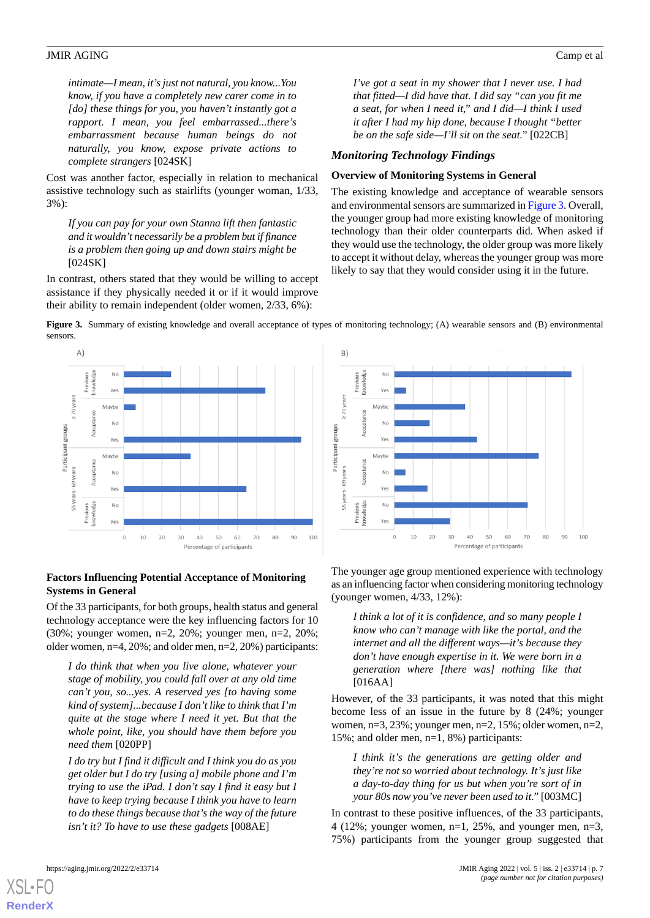*intimate—I mean, it's just not natural, you know...You know, if you have a completely new carer come in to [do] these things for you, you haven't instantly got a rapport. I mean, you feel embarrassed...there's embarrassment because human beings do not naturally, you know, expose private actions to complete strangers* [024SK]

Cost was another factor, especially in relation to mechanical assistive technology such as stairlifts (younger woman, 1/33, 3%):

*If you can pay for your own Stanna lift then fantastic and it wouldn't necessarily be a problem but if finance is a problem then going up and down stairs might be* [024SK]

<span id="page-6-0"></span>In contrast, others stated that they would be willing to accept assistance if they physically needed it or if it would improve their ability to remain independent (older women, 2/33, 6%):

*I've got a seat in my shower that I never use. I had that fitted—I did have that. I did say "can you fit me a seat, for when I need it," and I did—I think I used it after I had my hip done, because I thought "better be on the safe side—I'll sit on the seat."* [022CB]

#### *Monitoring Technology Findings*

#### **Overview of Monitoring Systems in General**

The existing knowledge and acceptance of wearable sensors and environmental sensors are summarized in [Figure 3](#page-6-0). Overall, the younger group had more existing knowledge of monitoring technology than their older counterparts did. When asked if they would use the technology, the older group was more likely to accept it without delay, whereas the younger group was more likely to say that they would consider using it in the future.

**Figure 3.** Summary of existing knowledge and overall acceptance of types of monitoring technology; (A) wearable sensors and (B) environmental sensors.

B)



#### $N<sub>C</sub>$ Yρς  $\geq 70$  years Mayhe Participant groups Yρ Mayhe 55 years - 69 years No Voi  $N<sub>0</sub>$ Pre Ye:  $10$  $20$ 40 50  $70$  $80$  $90$ 100  $\Omega$ 30 60 Percentage of participants

#### **Factors Influencing Potential Acceptance of Monitoring Systems in General**

Of the 33 participants, for both groups, health status and general technology acceptance were the key influencing factors for 10 (30%; younger women, n=2, 20%; younger men, n=2, 20%; older women, n=4, 20%; and older men, n=2, 20%) participants:

*I do think that when you live alone, whatever your stage of mobility, you could fall over at any old time can't you, so...yes. A reserved yes [to having some kind of system]...because I don't like to think that I'm quite at the stage where I need it yet. But that the whole point, like, you should have them before you need them* [020PP]

*I do try but I find it difficult and I think you do as you get older but I do try [using a] mobile phone and I'm trying to use the iPad. I don't say I find it easy but I have to keep trying because I think you have to learn to do these things because that's the way of the future isn't it? To have to use these gadgets* [008AE]

The younger age group mentioned experience with technology as an influencing factor when considering monitoring technology (younger women, 4/33, 12%):

*I think a lot of it is confidence, and so many people I know who can't manage with like the portal, and the internet and all the different ways—it's because they don't have enough expertise in it. We were born in a generation where [there was] nothing like that* [016AA]

However, of the 33 participants, it was noted that this might become less of an issue in the future by 8 (24%; younger women,  $n=3$ ,  $23\%$ ; younger men,  $n=2$ ,  $15\%$ ; older women,  $n=2$ , 15%; and older men, n=1, 8%) participants:

*I think it's the generations are getting older and they're not so worried about technology. It's just like a day-to-day thing for us but when you're sort of in your 80s now you've never been used to it."*[003MC]

In contrast to these positive influences, of the 33 participants, 4 (12%; younger women,  $n=1$ , 25%, and younger men,  $n=3$ , 75%) participants from the younger group suggested that

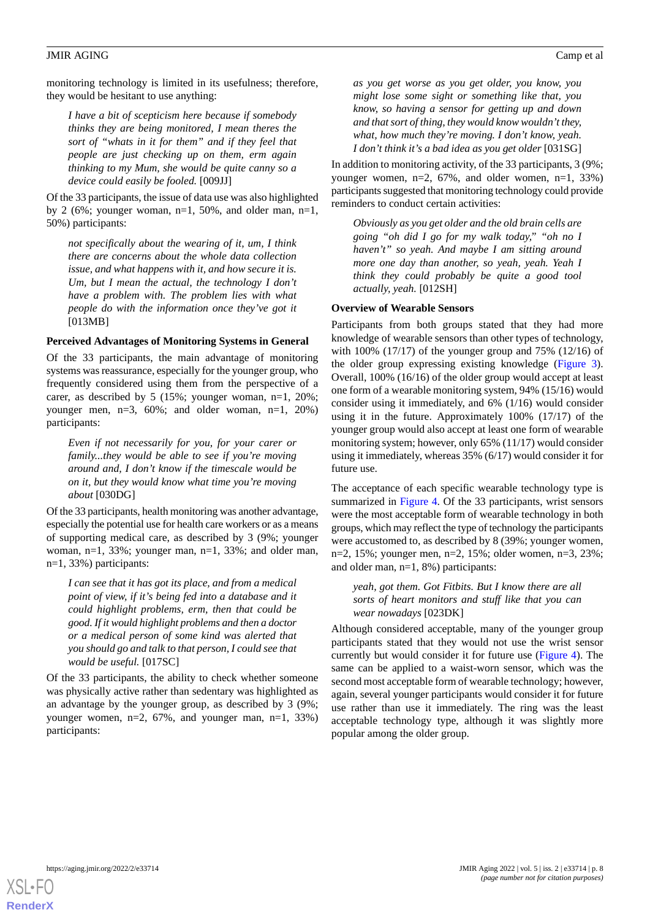monitoring technology is limited in its usefulness; therefore, they would be hesitant to use anything:

*I have a bit of scepticism here because if somebody thinks they are being monitored, I mean theres the sort of "whats in it for them" and if they feel that people are just checking up on them, erm again thinking to my Mum, she would be quite canny so a device could easily be fooled.* [009JJ]

Of the 33 participants, the issue of data use was also highlighted by 2 (6%; younger woman,  $n=1$ , 50%, and older man,  $n=1$ , 50%) participants:

*not specifically about the wearing of it, um, I think there are concerns about the whole data collection issue, and what happens with it, and how secure it is. Um, but I mean the actual, the technology I don't have a problem with. The problem lies with what people do with the information once they've got it* [013MB]

#### **Perceived Advantages of Monitoring Systems in General**

Of the 33 participants, the main advantage of monitoring systems was reassurance, especially for the younger group, who frequently considered using them from the perspective of a carer, as described by 5 (15%; younger woman, n=1, 20%; younger men, n=3, 60%; and older woman, n=1, 20%) participants:

*Even if not necessarily for you, for your carer or family...they would be able to see if you're moving around and, I don't know if the timescale would be on it, but they would know what time you're moving about* [030DG]

Of the 33 participants, health monitoring was another advantage, especially the potential use for health care workers or as a means of supporting medical care, as described by 3 (9%; younger woman, n=1, 33%; younger man, n=1, 33%; and older man, n=1, 33%) participants:

*I can see that it has got its place, and from a medical point of view, if it's being fed into a database and it could highlight problems, erm, then that could be good. If it would highlight problems and then a doctor or a medical person of some kind was alerted that you should go and talk to that person, I could see that would be useful.* [017SC]

Of the 33 participants, the ability to check whether someone was physically active rather than sedentary was highlighted as an advantage by the younger group, as described by 3 (9%; younger women, n=2, 67%, and younger man, n=1, 33%) participants:

*as you get worse as you get older, you know, you might lose some sight or something like that, you know, so having a sensor for getting up and down and that sort of thing, they would know wouldn't they, what, how much they're moving. I don't know, yeah. I don't think it's a bad idea as you get older* [031SG]

In addition to monitoring activity, of the 33 participants, 3 (9%; younger women,  $n=2$ , 67%, and older women,  $n=1$ , 33%) participants suggested that monitoring technology could provide reminders to conduct certain activities:

*Obviously as you get older and the old brain cells are going "oh did I go for my walk today," "oh no I haven't" so yeah. And maybe I am sitting around more one day than another, so yeah, yeah. Yeah I think they could probably be quite a good tool actually, yeah.* [012SH]

#### **Overview of Wearable Sensors**

Participants from both groups stated that they had more knowledge of wearable sensors than other types of technology, with 100% (17/17) of the younger group and 75% (12/16) of the older group expressing existing knowledge ([Figure 3\)](#page-6-0). Overall, 100% (16/16) of the older group would accept at least one form of a wearable monitoring system, 94% (15/16) would consider using it immediately, and 6% (1/16) would consider using it in the future. Approximately 100% (17/17) of the younger group would also accept at least one form of wearable monitoring system; however, only 65% (11/17) would consider using it immediately, whereas 35% (6/17) would consider it for future use.

The acceptance of each specific wearable technology type is summarized in [Figure 4.](#page-8-0) Of the 33 participants, wrist sensors were the most acceptable form of wearable technology in both groups, which may reflect the type of technology the participants were accustomed to, as described by 8 (39%; younger women, n=2, 15%; younger men, n=2, 15%; older women, n=3, 23%; and older man, n=1, 8%) participants:

*yeah, got them. Got Fitbits. But I know there are all sorts of heart monitors and stuff like that you can wear nowadays* [023DK]

Although considered acceptable, many of the younger group participants stated that they would not use the wrist sensor currently but would consider it for future use ([Figure 4](#page-8-0)). The same can be applied to a waist-worn sensor, which was the second most acceptable form of wearable technology; however, again, several younger participants would consider it for future use rather than use it immediately. The ring was the least acceptable technology type, although it was slightly more popular among the older group.

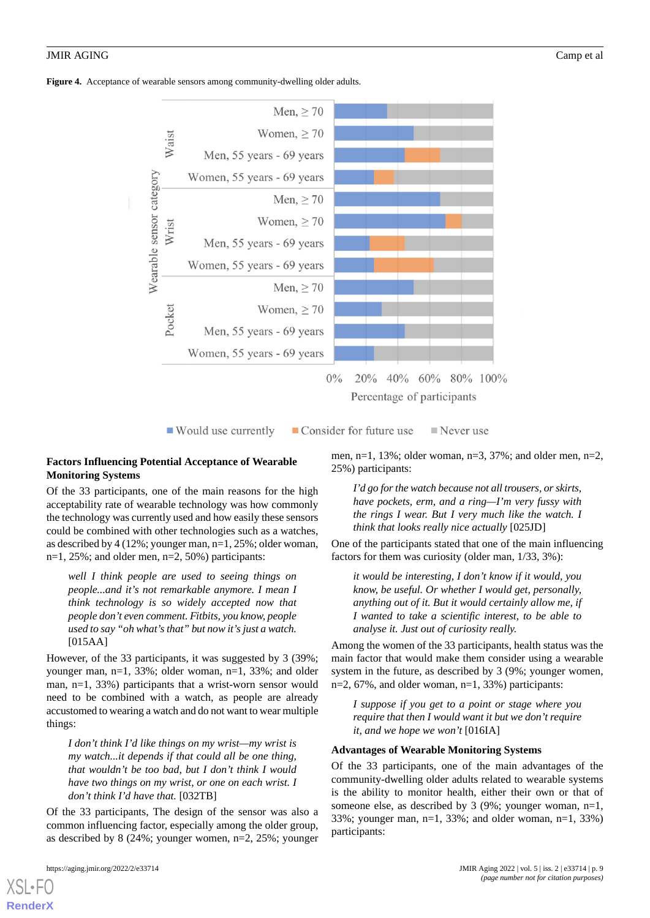<span id="page-8-0"></span>**Figure 4.** Acceptance of wearable sensors among community-dwelling older adults.





■ Would use currently

■ Consider for future use  $\blacksquare$  Never use

#### **Factors Influencing Potential Acceptance of Wearable Monitoring Systems**

Of the 33 participants, one of the main reasons for the high acceptability rate of wearable technology was how commonly the technology was currently used and how easily these sensors could be combined with other technologies such as a watches, as described by 4 (12%; younger man, n=1, 25%; older woman, n=1, 25%; and older men, n=2, 50%) participants:

*well I think people are used to seeing things on people...and it's not remarkable anymore. I mean I think technology is so widely accepted now that people don't even comment. Fitbits, you know, people used to say "oh what's that" but now it's just a watch.* [015AA]

However, of the 33 participants, it was suggested by 3 (39%; younger man, n=1, 33%; older woman, n=1, 33%; and older man, n=1, 33%) participants that a wrist-worn sensor would need to be combined with a watch, as people are already accustomed to wearing a watch and do not want to wear multiple things:

*I don't think I'd like things on my wrist—my wrist is my watch...it depends if that could all be one thing, that wouldn't be too bad, but I don't think I would have two things on my wrist, or one on each wrist. I don't think I'd have that.* [032TB]

Of the 33 participants, The design of the sensor was also a common influencing factor, especially among the older group, as described by 8 (24%; younger women, n=2, 25%; younger

[XSL](http://www.w3.org/Style/XSL)•FO **[RenderX](http://www.renderx.com/)**

men, n=1, 13%; older woman, n=3, 37%; and older men, n=2, 25%) participants:

*I'd go for the watch because not all trousers, or skirts, have pockets, erm, and a ring—I'm very fussy with the rings I wear. But I very much like the watch. I think that looks really nice actually* [025JD]

One of the participants stated that one of the main influencing factors for them was curiosity (older man, 1/33, 3%):

*it would be interesting, I don't know if it would, you know, be useful. Or whether I would get, personally, anything out of it. But it would certainly allow me, if I wanted to take a scientific interest, to be able to analyse it. Just out of curiosity really.*

Among the women of the 33 participants, health status was the main factor that would make them consider using a wearable system in the future, as described by 3 (9%; younger women, n=2, 67%, and older woman, n=1, 33%) participants:

*I suppose if you get to a point or stage where you require that then I would want it but we don't require it, and we hope we won't* [016IA]

#### **Advantages of Wearable Monitoring Systems**

Of the 33 participants, one of the main advantages of the community-dwelling older adults related to wearable systems is the ability to monitor health, either their own or that of someone else, as described by 3 (9%; younger woman, n=1, 33%; younger man, n=1, 33%; and older woman, n=1, 33%) participants: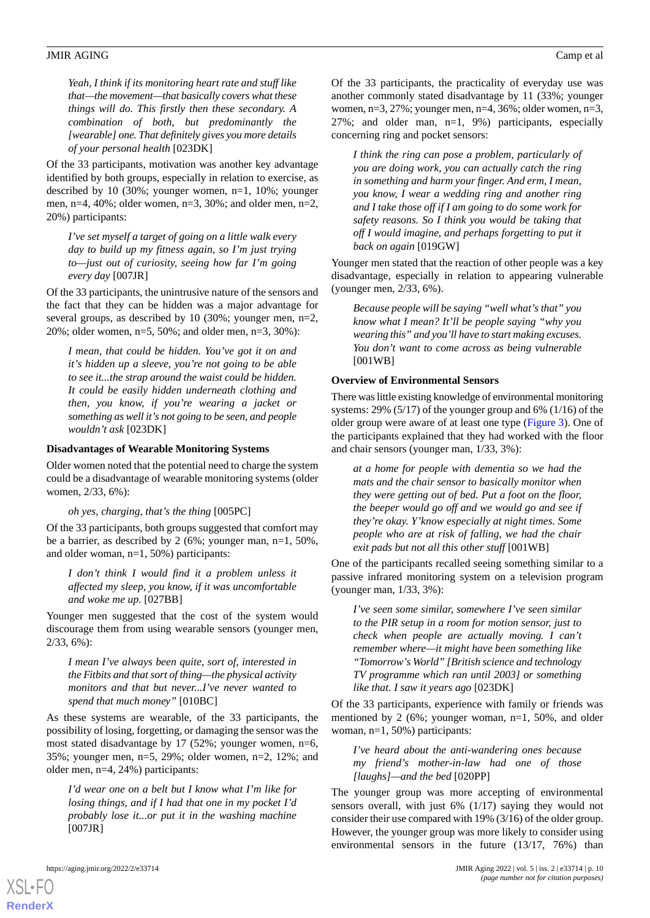*Yeah, I think if its monitoring heart rate and stuff like that—the movement—that basically covers what these things will do. This firstly then these secondary. A combination of both, but predominantly the [wearable] one. That definitely gives you more details of your personal health* [023DK]

Of the 33 participants, motivation was another key advantage identified by both groups, especially in relation to exercise, as described by 10 (30%; younger women, n=1, 10%; younger men, n=4, 40%; older women, n=3, 30%; and older men, n=2, 20%) participants:

*I've set myself a target of going on a little walk every day to build up my fitness again, so I'm just trying to—just out of curiosity, seeing how far I'm going every day* [007JR]

Of the 33 participants, the unintrusive nature of the sensors and the fact that they can be hidden was a major advantage for several groups, as described by 10 (30%; younger men, n=2, 20%; older women, n=5, 50%; and older men, n=3, 30%):

*I mean, that could be hidden. You've got it on and it's hidden up a sleeve, you're not going to be able to see it...the strap around the waist could be hidden. It could be easily hidden underneath clothing and then, you know, if you're wearing a jacket or something as well it's not going to be seen, and people wouldn't ask* [023DK]

#### **Disadvantages of Wearable Monitoring Systems**

Older women noted that the potential need to charge the system could be a disadvantage of wearable monitoring systems (older women, 2/33, 6%):

#### *oh yes, charging, that's the thing* [005PC]

Of the 33 participants, both groups suggested that comfort may be a barrier, as described by 2 (6%; younger man, n=1, 50%, and older woman, n=1, 50%) participants:

*I don't think I would find it a problem unless it affected my sleep, you know, if it was uncomfortable and woke me up.* [027BB]

Younger men suggested that the cost of the system would discourage them from using wearable sensors (younger men, 2/33, 6%):

*I mean I've always been quite, sort of, interested in the Fitbits and that sort of thing—the physical activity monitors and that but never...I've never wanted to spend that much money"* [010BC]

As these systems are wearable, of the 33 participants, the possibility of losing, forgetting, or damaging the sensor was the most stated disadvantage by 17 (52%; younger women, n=6, 35%; younger men, n=5, 29%; older women, n=2, 12%; and older men, n=4, 24%) participants:

*I'd wear one on a belt but I know what I'm like for losing things, and if I had that one in my pocket I'd probably lose it...or put it in the washing machine* [007JR]

Of the 33 participants, the practicality of everyday use was another commonly stated disadvantage by 11 (33%; younger women, n=3, 27%; younger men, n=4, 36%; older women, n=3, 27%; and older man, n=1, 9%) participants, especially concerning ring and pocket sensors:

*I think the ring can pose a problem, particularly of you are doing work, you can actually catch the ring in something and harm your finger. And erm, I mean, you know, I wear a wedding ring and another ring and I take those off if I am going to do some work for safety reasons. So I think you would be taking that off I would imagine, and perhaps forgetting to put it back on again* [019GW]

Younger men stated that the reaction of other people was a key disadvantage, especially in relation to appearing vulnerable (younger men, 2/33, 6%).

*Because people will be saying "well what's that" you know what I mean? It'll be people saying "why you wearing this" and you'll have to start making excuses. You don't want to come across as being vulnerable* [001WB]

#### **Overview of Environmental Sensors**

There was little existing knowledge of environmental monitoring systems: 29% (5/17) of the younger group and 6% (1/16) of the older group were aware of at least one type ([Figure 3\)](#page-6-0). One of the participants explained that they had worked with the floor and chair sensors (younger man, 1/33, 3%):

*at a home for people with dementia so we had the mats and the chair sensor to basically monitor when they were getting out of bed. Put a foot on the floor, the beeper would go off and we would go and see if they're okay. Y'know especially at night times. Some people who are at risk of falling, we had the chair exit pads but not all this other stuff* [001WB]

One of the participants recalled seeing something similar to a passive infrared monitoring system on a television program (younger man, 1/33, 3%):

*I've seen some similar, somewhere I've seen similar to the PIR setup in a room for motion sensor, just to check when people are actually moving. I can't remember where—it might have been something like "Tomorrow's World" [British science and technology TV programme which ran until 2003] or something like that. I saw it years ago* [023DK]

Of the 33 participants, experience with family or friends was mentioned by 2 (6%; younger woman, n=1, 50%, and older woman, n=1, 50%) participants:

*I've heard about the anti-wandering ones because my friend's mother-in-law had one of those [laughs]—and the bed* [020PP]

The younger group was more accepting of environmental sensors overall, with just 6% (1/17) saying they would not consider their use compared with 19% (3/16) of the older group. However, the younger group was more likely to consider using environmental sensors in the future (13/17, 76%) than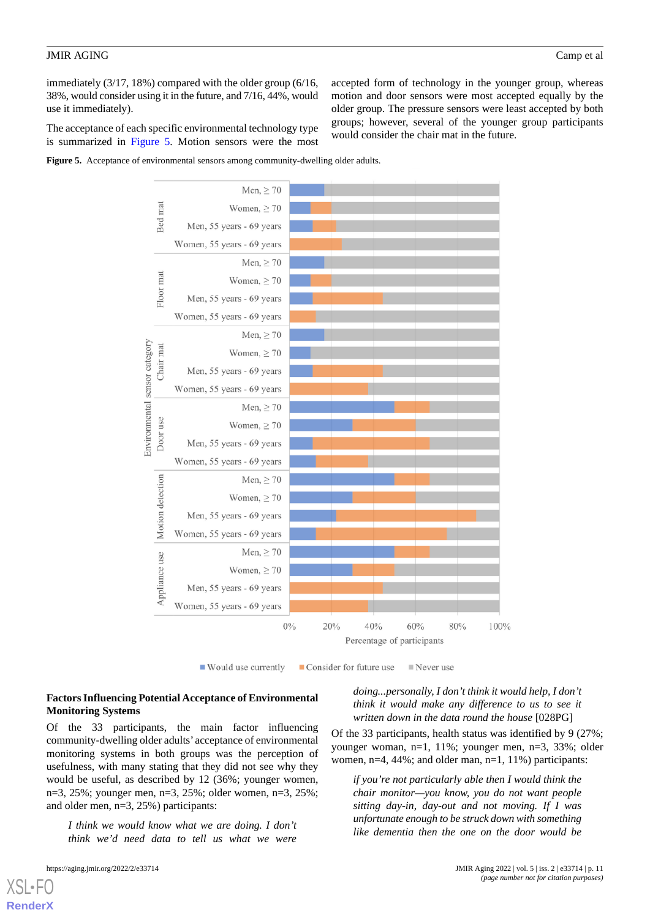immediately (3/17, 18%) compared with the older group (6/16, 38%, would consider using it in the future, and 7/16, 44%, would use it immediately).

The acceptance of each specific environmental technology type is summarized in [Figure 5.](#page-10-0) Motion sensors were the most accepted form of technology in the younger group, whereas motion and door sensors were most accepted equally by the older group. The pressure sensors were least accepted by both groups; however, several of the younger group participants would consider the chair mat in the future.

<span id="page-10-0"></span>



 $\blacksquare$  Would use currently ■ Consider for future use  $\blacksquare$  Never use

### **Factors Influencing Potential Acceptance of Environmental Monitoring Systems**

Of the 33 participants, the main factor influencing community-dwelling older adults' acceptance of environmental monitoring systems in both groups was the perception of usefulness, with many stating that they did not see why they would be useful, as described by 12 (36%; younger women, n=3, 25%; younger men, n=3, 25%; older women, n=3, 25%; and older men, n=3, 25%) participants:

*I think we would know what we are doing. I don't think we'd need data to tell us what we were*

[XSL](http://www.w3.org/Style/XSL)•FO **[RenderX](http://www.renderx.com/)**

*doing...personally, I don't think it would help, I don't think it would make any difference to us to see it written down in the data round the house* [028PG]

Of the 33 participants, health status was identified by 9 (27%; younger woman, n=1, 11%; younger men, n=3, 33%; older women, n=4, 44%; and older man, n=1, 11%) participants:

*if you're not particularly able then I would think the chair monitor—you know, you do not want people sitting day-in, day-out and not moving. If I was unfortunate enough to be struck down with something like dementia then the one on the door would be*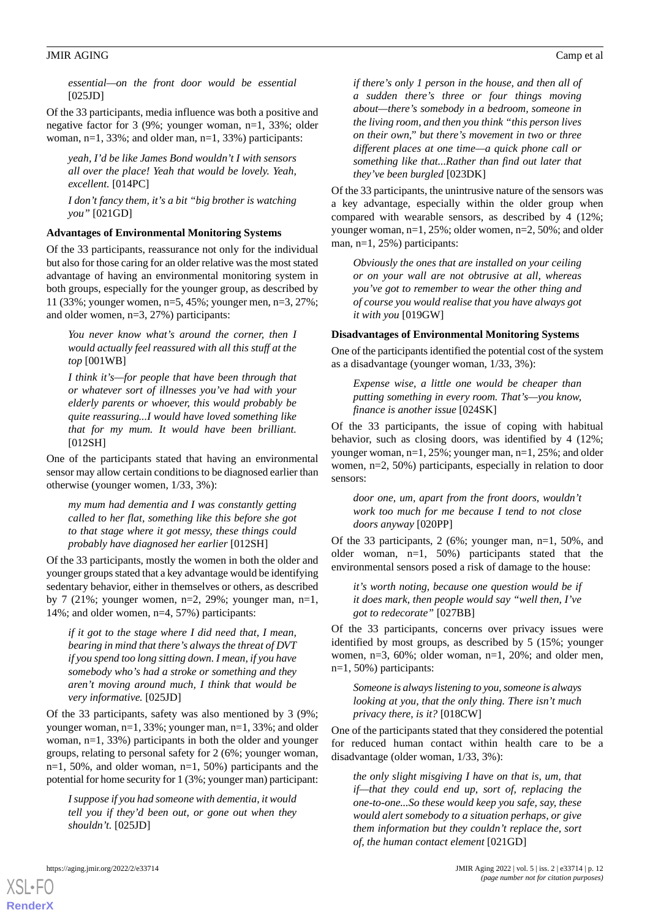*essential—on the front door would be essential*  $[025JD]$ 

Of the 33 participants, media influence was both a positive and negative factor for 3 (9%; younger woman, n=1, 33%; older woman,  $n=1$ , 33%; and older man,  $n=1$ , 33%) participants:

*yeah, I'd be like James Bond wouldn't I with sensors all over the place! Yeah that would be lovely. Yeah, excellent.* [014PC]

*I don't fancy them, it's a bit "big brother is watching you"* [021GD]

#### **Advantages of Environmental Monitoring Systems**

Of the 33 participants, reassurance not only for the individual but also for those caring for an older relative was the most stated advantage of having an environmental monitoring system in both groups, especially for the younger group, as described by 11 (33%; younger women, n=5, 45%; younger men, n=3, 27%; and older women, n=3, 27%) participants:

*You never know what's around the corner, then I would actually feel reassured with all this stuff at the top* [001WB]

*I think it's—for people that have been through that or whatever sort of illnesses you've had with your elderly parents or whoever, this would probably be quite reassuring...I would have loved something like that for my mum. It would have been brilliant.* [012SH]

One of the participants stated that having an environmental sensor may allow certain conditions to be diagnosed earlier than otherwise (younger women, 1/33, 3%):

*my mum had dementia and I was constantly getting called to her flat, something like this before she got to that stage where it got messy, these things could probably have diagnosed her earlier* [012SH]

Of the 33 participants, mostly the women in both the older and younger groups stated that a key advantage would be identifying sedentary behavior, either in themselves or others, as described by 7 (21%; younger women,  $n=2$ , 29%; younger man,  $n=1$ , 14%; and older women, n=4, 57%) participants:

*if it got to the stage where I did need that, I mean, bearing in mind that there's always the threat of DVT if you spend too long sitting down. I mean, if you have somebody who's had a stroke or something and they aren't moving around much, I think that would be very informative.* [025JD]

Of the 33 participants, safety was also mentioned by 3 (9%; younger woman, n=1, 33%; younger man, n=1, 33%; and older woman, n=1, 33%) participants in both the older and younger groups, relating to personal safety for 2 (6%; younger woman, n=1, 50%, and older woman, n=1, 50%) participants and the potential for home security for 1 (3%; younger man) participant:

*I suppose if you had someone with dementia, it would tell you if they'd been out, or gone out when they shouldn't.* [025JD]

*if there's only 1 person in the house, and then all of a sudden there's three or four things moving about—there's somebody in a bedroom, someone in the living room, and then you think "this person lives on their own," but there's movement in two or three different places at one time—a quick phone call or something like that...Rather than find out later that they've been burgled* [023DK]

Of the 33 participants, the unintrusive nature of the sensors was a key advantage, especially within the older group when compared with wearable sensors, as described by 4 (12%; younger woman, n=1, 25%; older women, n=2, 50%; and older man, n=1, 25%) participants:

*Obviously the ones that are installed on your ceiling or on your wall are not obtrusive at all, whereas you've got to remember to wear the other thing and of course you would realise that you have always got it with you* [019GW]

#### **Disadvantages of Environmental Monitoring Systems**

One of the participants identified the potential cost of the system as a disadvantage (younger woman, 1/33, 3%):

*Expense wise, a little one would be cheaper than putting something in every room. That's—you know, finance is another issue* [024SK]

Of the 33 participants, the issue of coping with habitual behavior, such as closing doors, was identified by 4 (12%; younger woman, n=1, 25%; younger man, n=1, 25%; and older women, n=2, 50%) participants, especially in relation to door sensors:

*door one, um, apart from the front doors, wouldn't work too much for me because I tend to not close doors anyway* [020PP]

Of the 33 participants, 2 (6%; younger man, n=1, 50%, and older woman, n=1, 50%) participants stated that the environmental sensors posed a risk of damage to the house:

*it's worth noting, because one question would be if it does mark, then people would say "well then, I've got to redecorate"* [027BB]

Of the 33 participants, concerns over privacy issues were identified by most groups, as described by 5 (15%; younger women, n=3, 60%; older woman, n=1, 20%; and older men, n=1, 50%) participants:

*Someone is always listening to you, someone is always looking at you, that the only thing. There isn't much privacy there, is it?* [018CW]

One of the participants stated that they considered the potential for reduced human contact within health care to be a disadvantage (older woman, 1/33, 3%):

*the only slight misgiving I have on that is, um, that if—that they could end up, sort of, replacing the one-to-one...So these would keep you safe, say, these would alert somebody to a situation perhaps, or give them information but they couldn't replace the, sort of, the human contact element* [021GD]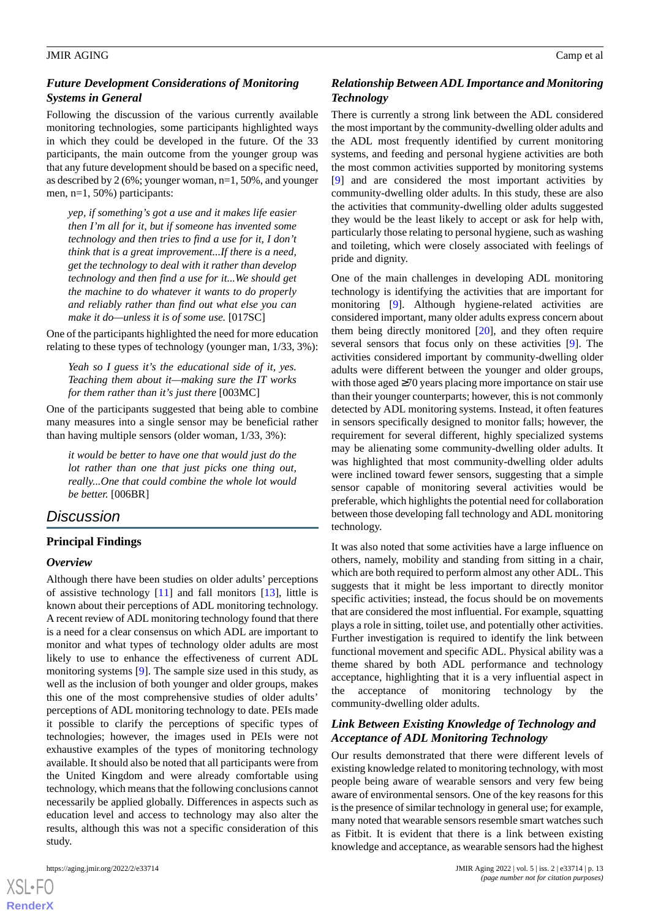# *Future Development Considerations of Monitoring Systems in General*

Following the discussion of the various currently available monitoring technologies, some participants highlighted ways in which they could be developed in the future. Of the 33 participants, the main outcome from the younger group was that any future development should be based on a specific need, as described by 2 (6%; younger woman, n=1, 50%, and younger men, n=1, 50%) participants:

*yep, if something's got a use and it makes life easier then I'm all for it, but if someone has invented some technology and then tries to find a use for it, I don't think that is a great improvement...If there is a need, get the technology to deal with it rather than develop technology and then find a use for it...We should get the machine to do whatever it wants to do properly and reliably rather than find out what else you can make it do—unless it is of some use.* [017SC]

One of the participants highlighted the need for more education relating to these types of technology (younger man, 1/33, 3%):

*Yeah so I guess it's the educational side of it, yes. Teaching them about it—making sure the IT works for them rather than it's just there* [003MC]

One of the participants suggested that being able to combine many measures into a single sensor may be beneficial rather than having multiple sensors (older woman, 1/33, 3%):

*it would be better to have one that would just do the lot rather than one that just picks one thing out, really...One that could combine the whole lot would be better.* [006BR]

# *Discussion*

# **Principal Findings**

#### *Overview*

Although there have been studies on older adults' perceptions of assistive technology [\[11](#page-14-10)] and fall monitors [\[13](#page-14-12)], little is known about their perceptions of ADL monitoring technology. A recent review of ADL monitoring technology found that there is a need for a clear consensus on which ADL are important to monitor and what types of technology older adults are most likely to use to enhance the effectiveness of current ADL monitoring systems [\[9](#page-14-8)]. The sample size used in this study, as well as the inclusion of both younger and older groups, makes this one of the most comprehensive studies of older adults' perceptions of ADL monitoring technology to date. PEIs made it possible to clarify the perceptions of specific types of technologies; however, the images used in PEIs were not exhaustive examples of the types of monitoring technology available. It should also be noted that all participants were from the United Kingdom and were already comfortable using technology, which means that the following conclusions cannot necessarily be applied globally. Differences in aspects such as education level and access to technology may also alter the results, although this was not a specific consideration of this study.

[XSL](http://www.w3.org/Style/XSL)•FO **[RenderX](http://www.renderx.com/)**

# *Relationship Between ADL Importance and Monitoring Technology*

There is currently a strong link between the ADL considered the most important by the community-dwelling older adults and the ADL most frequently identified by current monitoring systems, and feeding and personal hygiene activities are both the most common activities supported by monitoring systems [[9\]](#page-14-8) and are considered the most important activities by community-dwelling older adults. In this study, these are also the activities that community-dwelling older adults suggested they would be the least likely to accept or ask for help with, particularly those relating to personal hygiene, such as washing and toileting, which were closely associated with feelings of pride and dignity.

One of the main challenges in developing ADL monitoring technology is identifying the activities that are important for monitoring [[9\]](#page-14-8). Although hygiene-related activities are considered important, many older adults express concern about them being directly monitored [[20\]](#page-15-3), and they often require several sensors that focus only on these activities [[9\]](#page-14-8). The activities considered important by community-dwelling older adults were different between the younger and older groups, with those aged ≥70 years placing more importance on stair use than their younger counterparts; however, this is not commonly detected by ADL monitoring systems. Instead, it often features in sensors specifically designed to monitor falls; however, the requirement for several different, highly specialized systems may be alienating some community-dwelling older adults. It was highlighted that most community-dwelling older adults were inclined toward fewer sensors, suggesting that a simple sensor capable of monitoring several activities would be preferable, which highlights the potential need for collaboration between those developing fall technology and ADL monitoring technology.

It was also noted that some activities have a large influence on others, namely, mobility and standing from sitting in a chair, which are both required to perform almost any other ADL. This suggests that it might be less important to directly monitor specific activities; instead, the focus should be on movements that are considered the most influential. For example, squatting plays a role in sitting, toilet use, and potentially other activities. Further investigation is required to identify the link between functional movement and specific ADL. Physical ability was a theme shared by both ADL performance and technology acceptance, highlighting that it is a very influential aspect in the acceptance of monitoring technology by the community-dwelling older adults.

# *Link Between Existing Knowledge of Technology and Acceptance of ADL Monitoring Technology*

Our results demonstrated that there were different levels of existing knowledge related to monitoring technology, with most people being aware of wearable sensors and very few being aware of environmental sensors. One of the key reasons for this is the presence of similar technology in general use; for example, many noted that wearable sensors resemble smart watches such as Fitbit. It is evident that there is a link between existing knowledge and acceptance, as wearable sensors had the highest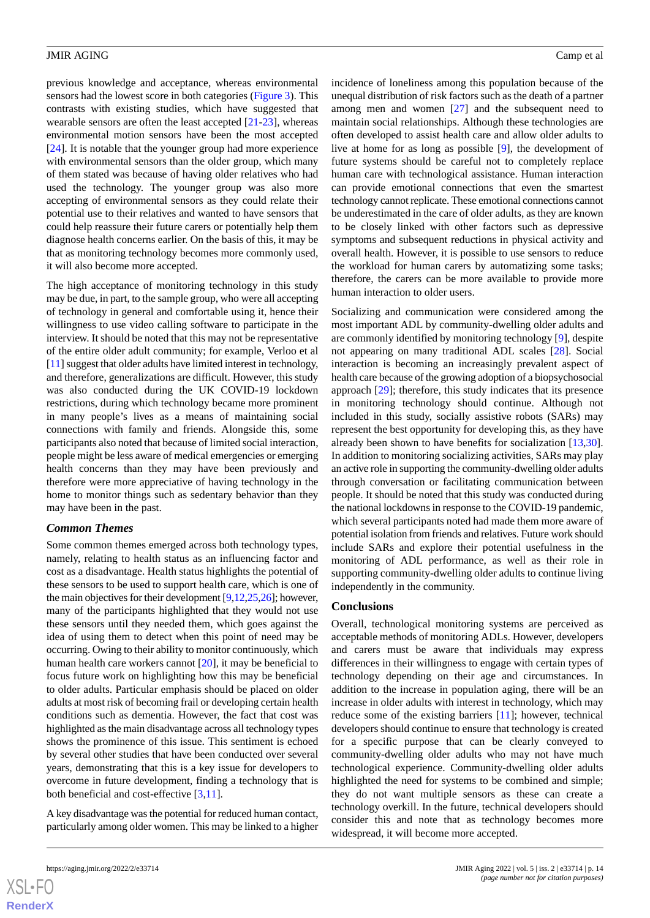previous knowledge and acceptance, whereas environmental sensors had the lowest score in both categories [\(Figure 3\)](#page-6-0). This contrasts with existing studies, which have suggested that wearable sensors are often the least accepted [\[21](#page-15-4)[-23](#page-15-5)], whereas environmental motion sensors have been the most accepted [[24\]](#page-15-6). It is notable that the younger group had more experience with environmental sensors than the older group, which many of them stated was because of having older relatives who had used the technology. The younger group was also more accepting of environmental sensors as they could relate their potential use to their relatives and wanted to have sensors that could help reassure their future carers or potentially help them diagnose health concerns earlier. On the basis of this, it may be that as monitoring technology becomes more commonly used, it will also become more accepted.

The high acceptance of monitoring technology in this study may be due, in part, to the sample group, who were all accepting of technology in general and comfortable using it, hence their willingness to use video calling software to participate in the interview. It should be noted that this may not be representative of the entire older adult community; for example, Verloo et al [[11\]](#page-14-10) suggest that older adults have limited interest in technology, and therefore, generalizations are difficult. However, this study was also conducted during the UK COVID-19 lockdown restrictions, during which technology became more prominent in many people's lives as a means of maintaining social connections with family and friends. Alongside this, some participants also noted that because of limited social interaction, people might be less aware of medical emergencies or emerging health concerns than they may have been previously and therefore were more appreciative of having technology in the home to monitor things such as sedentary behavior than they may have been in the past.

#### *Common Themes*

Some common themes emerged across both technology types, namely, relating to health status as an influencing factor and cost as a disadvantage. Health status highlights the potential of these sensors to be used to support health care, which is one of the main objectives for their development [\[9](#page-14-8)[,12](#page-14-11),[25](#page-15-7),[26\]](#page-15-8); however, many of the participants highlighted that they would not use these sensors until they needed them, which goes against the idea of using them to detect when this point of need may be occurring. Owing to their ability to monitor continuously, which human health care workers cannot [[20\]](#page-15-3), it may be beneficial to focus future work on highlighting how this may be beneficial to older adults. Particular emphasis should be placed on older adults at most risk of becoming frail or developing certain health conditions such as dementia. However, the fact that cost was highlighted as the main disadvantage across all technology types shows the prominence of this issue. This sentiment is echoed by several other studies that have been conducted over several years, demonstrating that this is a key issue for developers to overcome in future development, finding a technology that is both beneficial and cost-effective [\[3](#page-14-2),[11\]](#page-14-10).

A key disadvantage was the potential for reduced human contact, particularly among older women. This may be linked to a higher often developed to assist health care and allow older adults to live at home for as long as possible [\[9](#page-14-8)], the development of future systems should be careful not to completely replace human care with technological assistance. Human interaction can provide emotional connections that even the smartest technology cannot replicate. These emotional connections cannot be underestimated in the care of older adults, as they are known to be closely linked with other factors such as depressive symptoms and subsequent reductions in physical activity and overall health. However, it is possible to use sensors to reduce the workload for human carers by automatizing some tasks; therefore, the carers can be more available to provide more human interaction to older users.

incidence of loneliness among this population because of the unequal distribution of risk factors such as the death of a partner among men and women [[27\]](#page-15-9) and the subsequent need to maintain social relationships. Although these technologies are

Socializing and communication were considered among the most important ADL by community-dwelling older adults and are commonly identified by monitoring technology [[9](#page-14-8)], despite not appearing on many traditional ADL scales [[28\]](#page-15-10). Social interaction is becoming an increasingly prevalent aspect of health care because of the growing adoption of a biopsychosocial approach [\[29](#page-15-11)]; therefore, this study indicates that its presence in monitoring technology should continue. Although not included in this study, socially assistive robots (SARs) may represent the best opportunity for developing this, as they have already been shown to have benefits for socialization [\[13](#page-14-12),[30\]](#page-15-12). In addition to monitoring socializing activities, SARs may play an active role in supporting the community-dwelling older adults through conversation or facilitating communication between people. It should be noted that this study was conducted during the national lockdowns in response to the COVID-19 pandemic, which several participants noted had made them more aware of potential isolation from friends and relatives. Future work should include SARs and explore their potential usefulness in the monitoring of ADL performance, as well as their role in supporting community-dwelling older adults to continue living independently in the community.

#### **Conclusions**

Overall, technological monitoring systems are perceived as acceptable methods of monitoring ADLs. However, developers and carers must be aware that individuals may express differences in their willingness to engage with certain types of technology depending on their age and circumstances. In addition to the increase in population aging, there will be an increase in older adults with interest in technology, which may reduce some of the existing barriers [[11\]](#page-14-10); however, technical developers should continue to ensure that technology is created for a specific purpose that can be clearly conveyed to community-dwelling older adults who may not have much technological experience. Community-dwelling older adults highlighted the need for systems to be combined and simple; they do not want multiple sensors as these can create a technology overkill. In the future, technical developers should consider this and note that as technology becomes more widespread, it will become more accepted.

**[RenderX](http://www.renderx.com/)**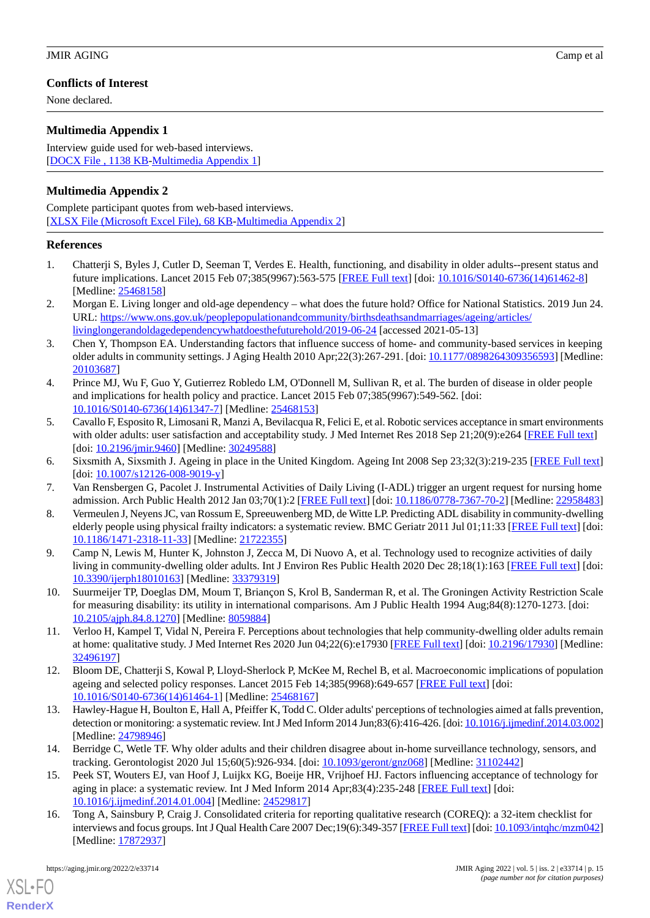# **Conflicts of Interest**

None declared.

# <span id="page-14-16"></span>**Multimedia Appendix 1**

Interview guide used for web-based interviews. [[DOCX File , 1138 KB](https://jmir.org/api/download?alt_name=aging_v5i2e33714_app1.docx&filename=690a1fd20a0e06c0b12a7a5607fe2900.docx)-[Multimedia Appendix 1\]](https://jmir.org/api/download?alt_name=aging_v5i2e33714_app1.docx&filename=690a1fd20a0e06c0b12a7a5607fe2900.docx)

# <span id="page-14-17"></span>**Multimedia Appendix 2**

Complete participant quotes from web-based interviews. [[XLSX File \(Microsoft Excel File\), 68 KB](https://jmir.org/api/download?alt_name=aging_v5i2e33714_app2.xlsx&filename=8eac615dd8dd884527afad62a43999a3.xlsx)-[Multimedia Appendix 2\]](https://jmir.org/api/download?alt_name=aging_v5i2e33714_app2.xlsx&filename=8eac615dd8dd884527afad62a43999a3.xlsx)

# <span id="page-14-0"></span>**References**

- <span id="page-14-1"></span>1. Chatterji S, Byles J, Cutler D, Seeman T, Verdes E. Health, functioning, and disability in older adults--present status and future implications. Lancet 2015 Feb 07;385(9967):563-575 [\[FREE Full text\]](http://europepmc.org/abstract/MED/25468158) [doi: [10.1016/S0140-6736\(14\)61462-8](http://dx.doi.org/10.1016/S0140-6736(14)61462-8)] [Medline: [25468158](http://www.ncbi.nlm.nih.gov/entrez/query.fcgi?cmd=Retrieve&db=PubMed&list_uids=25468158&dopt=Abstract)]
- <span id="page-14-2"></span>2. Morgan E. Living longer and old-age dependency – what does the future hold? Office for National Statistics. 2019 Jun 24. URL: [https://www.ons.gov.uk/peoplepopulationandcommunity/birthsdeathsandmarriages/ageing/articles/](https://www.ons.gov.uk/peoplepopulationandcommunity/birthsdeathsandmarriages/ageing/articles/livinglongerandoldagedependencywhatdoesthefuturehold/2019-06-24) [livinglongerandoldagedependencywhatdoesthefuturehold/2019-06-24](https://www.ons.gov.uk/peoplepopulationandcommunity/birthsdeathsandmarriages/ageing/articles/livinglongerandoldagedependencywhatdoesthefuturehold/2019-06-24) [accessed 2021-05-13]
- <span id="page-14-3"></span>3. Chen Y, Thompson EA. Understanding factors that influence success of home- and community-based services in keeping older adults in community settings. J Aging Health 2010 Apr;22(3):267-291. [doi: [10.1177/0898264309356593\]](http://dx.doi.org/10.1177/0898264309356593) [Medline: [20103687](http://www.ncbi.nlm.nih.gov/entrez/query.fcgi?cmd=Retrieve&db=PubMed&list_uids=20103687&dopt=Abstract)]
- <span id="page-14-4"></span>4. Prince MJ, Wu F, Guo Y, Gutierrez Robledo LM, O'Donnell M, Sullivan R, et al. The burden of disease in older people and implications for health policy and practice. Lancet 2015 Feb 07;385(9967):549-562. [doi: [10.1016/S0140-6736\(14\)61347-7\]](http://dx.doi.org/10.1016/S0140-6736(14)61347-7) [Medline: [25468153](http://www.ncbi.nlm.nih.gov/entrez/query.fcgi?cmd=Retrieve&db=PubMed&list_uids=25468153&dopt=Abstract)]
- <span id="page-14-6"></span><span id="page-14-5"></span>5. Cavallo F, Esposito R, Limosani R, Manzi A, Bevilacqua R, Felici E, et al. Robotic services acceptance in smart environments with older adults: user satisfaction and acceptability study. J Med Internet Res 2018 Sep 21;20(9):e264 [[FREE Full text\]](https://www.jmir.org/2018/9/e264/) [doi: [10.2196/jmir.9460\]](http://dx.doi.org/10.2196/jmir.9460) [Medline: [30249588\]](http://www.ncbi.nlm.nih.gov/entrez/query.fcgi?cmd=Retrieve&db=PubMed&list_uids=30249588&dopt=Abstract)
- <span id="page-14-7"></span>6. Sixsmith A, Sixsmith J. Ageing in place in the United Kingdom. Ageing Int 2008 Sep 23;32(3):219-235 [\[FREE Full text](https://doi.org/10.1007/s12126-008-9019-y)] [doi: [10.1007/s12126-008-9019-y](http://dx.doi.org/10.1007/s12126-008-9019-y)]
- <span id="page-14-8"></span>7. Van Rensbergen G, Pacolet J. Instrumental Activities of Daily Living (I-ADL) trigger an urgent request for nursing home admission. Arch Public Health 2012 Jan 03;70(1):2 [[FREE Full text\]](https://archpublichealth.biomedcentral.com/articles/10.1186/0778-7367-70-2) [doi: [10.1186/0778-7367-70-2](http://dx.doi.org/10.1186/0778-7367-70-2)] [Medline: [22958483](http://www.ncbi.nlm.nih.gov/entrez/query.fcgi?cmd=Retrieve&db=PubMed&list_uids=22958483&dopt=Abstract)]
- <span id="page-14-9"></span>8. Vermeulen J, Neyens JC, van Rossum E, Spreeuwenberg MD, de Witte LP. Predicting ADL disability in community-dwelling elderly people using physical frailty indicators: a systematic review. BMC Geriatr 2011 Jul 01;11:33 [[FREE Full text](https://bmcgeriatr.biomedcentral.com/articles/10.1186/1471-2318-11-33)] [doi: [10.1186/1471-2318-11-33\]](http://dx.doi.org/10.1186/1471-2318-11-33) [Medline: [21722355\]](http://www.ncbi.nlm.nih.gov/entrez/query.fcgi?cmd=Retrieve&db=PubMed&list_uids=21722355&dopt=Abstract)
- <span id="page-14-10"></span>9. Camp N, Lewis M, Hunter K, Johnston J, Zecca M, Di Nuovo A, et al. Technology used to recognize activities of daily living in community-dwelling older adults. Int J Environ Res Public Health 2020 Dec 28;18(1):163 [[FREE Full text](https://www.mdpi.com/resolver?pii=ijerph18010163)] [doi: [10.3390/ijerph18010163](http://dx.doi.org/10.3390/ijerph18010163)] [Medline: [33379319\]](http://www.ncbi.nlm.nih.gov/entrez/query.fcgi?cmd=Retrieve&db=PubMed&list_uids=33379319&dopt=Abstract)
- <span id="page-14-11"></span>10. Suurmeijer TP, Doeglas DM, Moum T, Briançon S, Krol B, Sanderman R, et al. The Groningen Activity Restriction Scale for measuring disability: its utility in international comparisons. Am J Public Health 1994 Aug;84(8):1270-1273. [doi: [10.2105/ajph.84.8.1270\]](http://dx.doi.org/10.2105/ajph.84.8.1270) [Medline: [8059884](http://www.ncbi.nlm.nih.gov/entrez/query.fcgi?cmd=Retrieve&db=PubMed&list_uids=8059884&dopt=Abstract)]
- <span id="page-14-12"></span>11. Verloo H, Kampel T, Vidal N, Pereira F. Perceptions about technologies that help community-dwelling older adults remain at home: qualitative study. J Med Internet Res 2020 Jun 04;22(6):e17930 [[FREE Full text\]](https://www.jmir.org/2020/6/e17930/) [doi: [10.2196/17930\]](http://dx.doi.org/10.2196/17930) [Medline: [32496197](http://www.ncbi.nlm.nih.gov/entrez/query.fcgi?cmd=Retrieve&db=PubMed&list_uids=32496197&dopt=Abstract)]
- <span id="page-14-13"></span>12. Bloom DE, Chatterji S, Kowal P, Lloyd-Sherlock P, McKee M, Rechel B, et al. Macroeconomic implications of population ageing and selected policy responses. Lancet 2015 Feb 14;385(9968):649-657 [[FREE Full text](http://europepmc.org/abstract/MED/25468167)] [doi: [10.1016/S0140-6736\(14\)61464-1\]](http://dx.doi.org/10.1016/S0140-6736(14)61464-1) [Medline: [25468167](http://www.ncbi.nlm.nih.gov/entrez/query.fcgi?cmd=Retrieve&db=PubMed&list_uids=25468167&dopt=Abstract)]
- <span id="page-14-14"></span>13. Hawley-Hague H, Boulton E, Hall A, Pfeiffer K, Todd C. Older adults' perceptions of technologies aimed at falls prevention, detection or monitoring: a systematic review. Int J Med Inform 2014 Jun;83(6):416-426. [doi: [10.1016/j.ijmedinf.2014.03.002\]](http://dx.doi.org/10.1016/j.ijmedinf.2014.03.002) [Medline: [24798946](http://www.ncbi.nlm.nih.gov/entrez/query.fcgi?cmd=Retrieve&db=PubMed&list_uids=24798946&dopt=Abstract)]
- <span id="page-14-15"></span>14. Berridge C, Wetle TF. Why older adults and their children disagree about in-home surveillance technology, sensors, and tracking. Gerontologist 2020 Jul 15;60(5):926-934. [doi: [10.1093/geront/gnz068](http://dx.doi.org/10.1093/geront/gnz068)] [Medline: [31102442](http://www.ncbi.nlm.nih.gov/entrez/query.fcgi?cmd=Retrieve&db=PubMed&list_uids=31102442&dopt=Abstract)]
- 15. Peek ST, Wouters EJ, van Hoof J, Luijkx KG, Boeije HR, Vrijhoef HJ. Factors influencing acceptance of technology for aging in place: a systematic review. Int J Med Inform 2014 Apr;83(4):235-248 [\[FREE Full text\]](https://linkinghub.elsevier.com/retrieve/pii/S1386-5056(14)00017-3) [doi: [10.1016/j.ijmedinf.2014.01.004\]](http://dx.doi.org/10.1016/j.ijmedinf.2014.01.004) [Medline: [24529817](http://www.ncbi.nlm.nih.gov/entrez/query.fcgi?cmd=Retrieve&db=PubMed&list_uids=24529817&dopt=Abstract)]
- 16. Tong A, Sainsbury P, Craig J. Consolidated criteria for reporting qualitative research (COREQ): a 32-item checklist for interviews and focus groups. Int J Qual Health Care 2007 Dec;19(6):349-357 [\[FREE Full text\]](https://doi.org/10.1093/intqhc/mzm042) [doi: [10.1093/intqhc/mzm042\]](http://dx.doi.org/10.1093/intqhc/mzm042) [Medline: [17872937](http://www.ncbi.nlm.nih.gov/entrez/query.fcgi?cmd=Retrieve&db=PubMed&list_uids=17872937&dopt=Abstract)]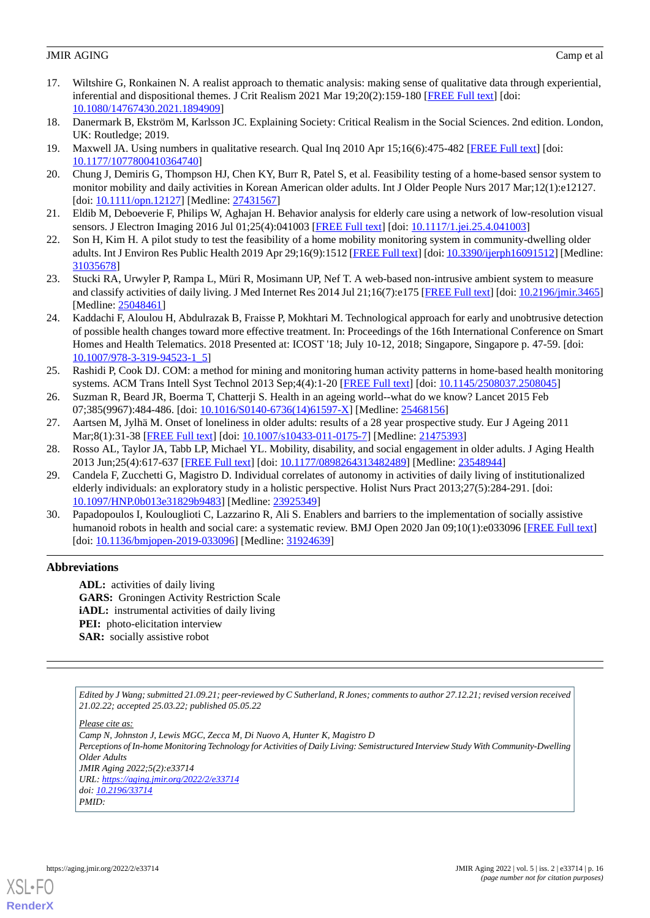- <span id="page-15-0"></span>17. Wiltshire G, Ronkainen N. A realist approach to thematic analysis: making sense of qualitative data through experiential, inferential and dispositional themes. J Crit Realism 2021 Mar 19;20(2):159-180 [[FREE Full text](https://doi.org/10.1080/14767430.2021.1894909)] [doi: [10.1080/14767430.2021.1894909\]](http://dx.doi.org/10.1080/14767430.2021.1894909)
- <span id="page-15-2"></span><span id="page-15-1"></span>18. Danermark B, Ekström M, Karlsson JC. Explaining Society: Critical Realism in the Social Sciences. 2nd edition. London, UK: Routledge; 2019.
- <span id="page-15-3"></span>19. Maxwell JA. Using numbers in qualitative research. Qual Inq 2010 Apr 15;16(6):475-482 [\[FREE Full text](https://doi.org/10.1177/1077800410364740)] [doi: [10.1177/1077800410364740\]](http://dx.doi.org/10.1177/1077800410364740)
- <span id="page-15-4"></span>20. Chung J, Demiris G, Thompson HJ, Chen KY, Burr R, Patel S, et al. Feasibility testing of a home-based sensor system to monitor mobility and daily activities in Korean American older adults. Int J Older People Nurs 2017 Mar;12(1):e12127. [doi: [10.1111/opn.12127\]](http://dx.doi.org/10.1111/opn.12127) [Medline: [27431567\]](http://www.ncbi.nlm.nih.gov/entrez/query.fcgi?cmd=Retrieve&db=PubMed&list_uids=27431567&dopt=Abstract)
- 21. Eldib M, Deboeverie F, Philips W, Aghajan H. Behavior analysis for elderly care using a network of low-resolution visual sensors. J Electron Imaging 2016 Jul 01;25(4):041003 [\[FREE Full text\]](https://www.spiedigitallibrary.org/journals/Journal-of-Electronic-Imaging/volume-25/issue-4/041003/Behavior-analysis-for-elderly-care-using-a-network-of-low/10.1117/1.JEI.25.4.041003.full) [doi: [10.1117/1.jei.25.4.041003](http://dx.doi.org/10.1117/1.jei.25.4.041003)]
- <span id="page-15-5"></span>22. Son H, Kim H. A pilot study to test the feasibility of a home mobility monitoring system in community-dwelling older adults. Int J Environ Res Public Health 2019 Apr 29;16(9):1512 [[FREE Full text](https://www.mdpi.com/resolver?pii=ijerph16091512)] [doi: [10.3390/ijerph16091512\]](http://dx.doi.org/10.3390/ijerph16091512) [Medline: [31035678](http://www.ncbi.nlm.nih.gov/entrez/query.fcgi?cmd=Retrieve&db=PubMed&list_uids=31035678&dopt=Abstract)]
- <span id="page-15-6"></span>23. Stucki RA, Urwyler P, Rampa L, Müri R, Mosimann UP, Nef T. A web-based non-intrusive ambient system to measure and classify activities of daily living. J Med Internet Res 2014 Jul 21;16(7):e175 [\[FREE Full text](https://www.jmir.org/2014/7/e175/)] [doi: [10.2196/jmir.3465](http://dx.doi.org/10.2196/jmir.3465)] [Medline: [25048461](http://www.ncbi.nlm.nih.gov/entrez/query.fcgi?cmd=Retrieve&db=PubMed&list_uids=25048461&dopt=Abstract)]
- <span id="page-15-7"></span>24. Kaddachi F, Aloulou H, Abdulrazak B, Fraisse P, Mokhtari M. Technological approach for early and unobtrusive detection of possible health changes toward more effective treatment. In: Proceedings of the 16th International Conference on Smart Homes and Health Telematics. 2018 Presented at: ICOST '18; July 10-12, 2018; Singapore, Singapore p. 47-59. [doi: [10.1007/978-3-319-94523-1\\_5](http://dx.doi.org/10.1007/978-3-319-94523-1_5)]
- <span id="page-15-9"></span><span id="page-15-8"></span>25. Rashidi P, Cook DJ. COM: a method for mining and monitoring human activity patterns in home-based health monitoring systems. ACM Trans Intell Syst Technol 2013 Sep;4(4):1-20 [[FREE Full text](https://doi.org/10.1145/2508037.2508045)] [doi: [10.1145/2508037.2508045](http://dx.doi.org/10.1145/2508037.2508045)]
- <span id="page-15-10"></span>26. Suzman R, Beard JR, Boerma T, Chatterji S. Health in an ageing world--what do we know? Lancet 2015 Feb 07;385(9967):484-486. [doi: [10.1016/S0140-6736\(14\)61597-X\]](http://dx.doi.org/10.1016/S0140-6736(14)61597-X) [Medline: [25468156\]](http://www.ncbi.nlm.nih.gov/entrez/query.fcgi?cmd=Retrieve&db=PubMed&list_uids=25468156&dopt=Abstract)
- <span id="page-15-11"></span>27. Aartsen M, Jylhä M. Onset of loneliness in older adults: results of a 28 year prospective study. Eur J Ageing 2011 Mar;8(1):31-38 [[FREE Full text\]](http://europepmc.org/abstract/MED/21475393) [doi: [10.1007/s10433-011-0175-7](http://dx.doi.org/10.1007/s10433-011-0175-7)] [Medline: [21475393](http://www.ncbi.nlm.nih.gov/entrez/query.fcgi?cmd=Retrieve&db=PubMed&list_uids=21475393&dopt=Abstract)]
- 28. Rosso AL, Taylor JA, Tabb LP, Michael YL. Mobility, disability, and social engagement in older adults. J Aging Health 2013 Jun;25(4):617-637 [\[FREE Full text\]](http://europepmc.org/abstract/MED/23548944) [doi: [10.1177/0898264313482489](http://dx.doi.org/10.1177/0898264313482489)] [Medline: [23548944\]](http://www.ncbi.nlm.nih.gov/entrez/query.fcgi?cmd=Retrieve&db=PubMed&list_uids=23548944&dopt=Abstract)
- <span id="page-15-12"></span>29. Candela F, Zucchetti G, Magistro D. Individual correlates of autonomy in activities of daily living of institutionalized elderly individuals: an exploratory study in a holistic perspective. Holist Nurs Pract 2013;27(5):284-291. [doi: [10.1097/HNP.0b013e31829b9483\]](http://dx.doi.org/10.1097/HNP.0b013e31829b9483) [Medline: [23925349](http://www.ncbi.nlm.nih.gov/entrez/query.fcgi?cmd=Retrieve&db=PubMed&list_uids=23925349&dopt=Abstract)]
- 30. Papadopoulos I, Koulouglioti C, Lazzarino R, Ali S. Enablers and barriers to the implementation of socially assistive humanoid robots in health and social care: a systematic review. BMJ Open 2020 Jan 09;10(1):e033096 [\[FREE Full text\]](https://bmjopen.bmj.com/lookup/pmidlookup?view=long&pmid=31924639) [doi: [10.1136/bmjopen-2019-033096\]](http://dx.doi.org/10.1136/bmjopen-2019-033096) [Medline: [31924639\]](http://www.ncbi.nlm.nih.gov/entrez/query.fcgi?cmd=Retrieve&db=PubMed&list_uids=31924639&dopt=Abstract)

# **Abbreviations**

**ADL:** activities of daily living **GARS:** Groningen Activity Restriction Scale *iADL:* instrumental activities of daily living **PEI:** photo-elicitation interview **SAR:** socially assistive robot

*Edited by J Wang; submitted 21.09.21; peer-reviewed by C Sutherland, R Jones; comments to author 27.12.21; revised version received 21.02.22; accepted 25.03.22; published 05.05.22*

*Please cite as: Camp N, Johnston J, Lewis MGC, Zecca M, Di Nuovo A, Hunter K, Magistro D Perceptions of In-home Monitoring Technology for Activities of Daily Living: Semistructured Interview Study With Community-Dwelling Older Adults JMIR Aging 2022;5(2):e33714 URL: <https://aging.jmir.org/2022/2/e33714> doi: [10.2196/33714](http://dx.doi.org/10.2196/33714) PMID:*